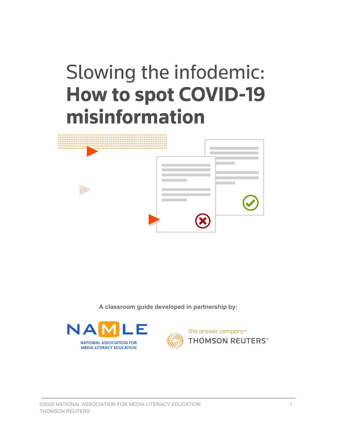# Slowing the infodemic: **How to spot COVID-19** misinformation



**A classroom guide developed in partnership by:**



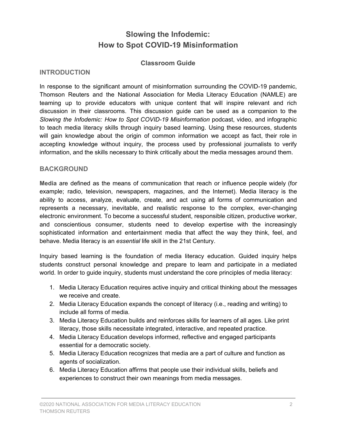# **Slowing the Infodemic: How to Spot COVID-19 Misinformation**

#### **Classroom Guide**

#### **INTRODUCTION**

In response to the significant amount of misinformation surrounding the COVID-19 pandemic, Thomson Reuters and the National Association for Media Literacy Education (NAMLE) are teaming up to provide educators with unique content that will inspire relevant and rich discussion in their classrooms. This discussion guide can be used as a companion to the *Slowing the Infodemic: How to Spot COVID-19 Misinformation* podcast, video, and infographic to teach media literacy skills through inquiry based learning. Using these resources, students will gain knowledge about the origin of common information we accept as fact, their role in accepting knowledge without inquiry, the process used by professional journalists to verify information, and the skills necessary to think critically about the media messages around them.

#### **BACKGROUND**

**Media** are defined as the means of communication that reach or influence people widely (for example; radio, television, newspapers, magazines, and the Internet). Media literacy is the ability to access, analyze, evaluate, create, and act using all forms of communication and represents a necessary, inevitable, and realistic response to the complex, ever-changing electronic environment. To become a successful student, responsible citizen, productive worker, and conscientious consumer, students need to develop expertise with the increasingly sophisticated information and entertainment media that affect the way they think, feel, and behave. Media literacy is an *essential* life skill in the 21st Century.

Inquiry based learning is the foundation of media literacy education. Guided inquiry helps students construct personal knowledge and prepare to learn and participate in a mediated world. In order to guide inquiry, students must understand the core principles of media literacy:

- 1. Media Literacy Education requires active inquiry and critical thinking about the messages we receive and create.
- 2. Media Literacy Education expands the concept of literacy (i.e., reading and writing) to include all forms of media.
- 3. Media Literacy Education builds and reinforces skills for learners of all ages. Like print literacy, those skills necessitate integrated, interactive, and repeated practice.
- 4. Media Literacy Education develops informed, reflective and engaged participants essential for a democratic society.
- 5. Media Literacy Education recognizes that media are a part of culture and function as agents of socialization.
- 6. Media Literacy Education affirms that people use their individual skills, beliefs and experiences to construct their own meanings from media messages.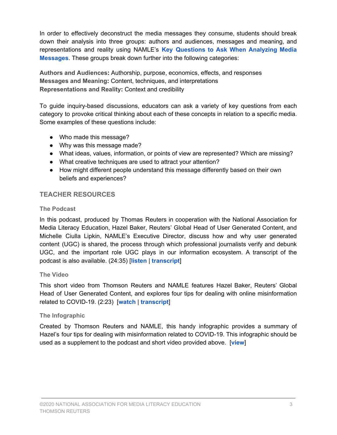In order to effectively deconstruct the media messages they consume, students should break down their analysis into three groups: authors and audiences, messages and meaning, and representations and reality using NAMLE's **Key [Questions](https://drive.google.com/file/d/0B8j2T8jHrlgCZ2Zta2hvWkF0dG8/view) to Ask When Analyzing Media [Messages](https://drive.google.com/file/d/0B8j2T8jHrlgCZ2Zta2hvWkF0dG8/view)**. These groups break down further into the following categories:

**Authors and Audiences:** Authorship, purpose, economics, effects, and responses **Messages and Meaning:** Content, techniques, and interpretations **Representations and Reality:** Context and credibility

To guide inquiry-based discussions, educators can ask a variety of key questions from each category to provoke critical thinking about each of these concepts in relation to a specific media. Some examples of these questions include:

- Who made this message?
- Why was this message made?
- What ideas, values, information, or points of view are represented? Which are missing?
- What creative techniques are used to attract your attention?
- How might different people understand this message differently based on their own beliefs and experiences?

## **TEACHER RESOURCES**

#### **The Podcast**

In this podcast, produced by Thomas Reuters in cooperation with the National Association for Media Literacy Education, Hazel Baker, Reuters' Global Head of User Generated Content, and Michelle Ciulla Lipkin, NAMLE's Executive Director, discuss how and why user generated content (UGC) is shared, the process through which professional journalists verify and debunk UGC, and the important role UGC plays in our information ecosystem. A transcript of the podcast is also available. (24:35) [**[listen](https://soundcloud.com/user-606382054-336216374/slowing-the-infodemic-how-to-spot-covid-19-misinformation-podcast)** | **[transcript](https://docs.google.com/document/d/1_9OxLicR4i25NhU--yC0eGvRuxdArdXaARJiSMm9ees/edit?usp=sharing)**]

#### **The Video**

This short video from Thomson Reuters and NAMLE features Hazel Baker, Reuters' Global Head of User Generated Content, and explores four tips for dealing with online misinformation related to COVID-19. (2:23) [**[watch](https://www.youtube.com/watch?v=jNe7SZgn000&feature=youtu.be)** | **[transcript](https://docs.google.com/document/d/1kwcJtT-xWcrhSyPg2pN8HsqCCHqZnLDVgsLPJRJxYic/edit?usp=sharing)**]

#### **The Infographic**

Created by Thomson Reuters and NAMLE, this handy infographic provides a summary of Hazel's four tips for dealing with misinformation related to COVID-19. This infographic should be used as a supplement to the podcast and short video provided above. [**[view](https://www.thomsonreuters.com/content/dam/ewp-m/documents/thomsonreuters/en/pdf/social-impact/tr-infographic-misinformation.pdf)**]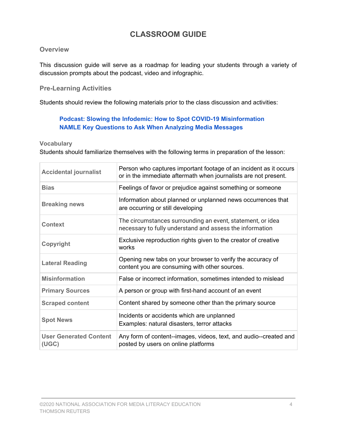# **CLASSROOM GUIDE**

#### **Overview**

This discussion guide will serve as a roadmap for leading your students through a variety of discussion prompts about the podcast, video and infographic.

## **Pre-Learning Activities**

Students should review the following materials prior to the class discussion and activities:

### **Podcast: Slowing the Infodemic: How to Spot COVID-19 [Misinformation](https://soundcloud.com/user-606382054-336216374/slowing-the-infodemic-how-to-spot-covid-19-misinformation-podcast) NAMLE Key [Questions](https://drive.google.com/file/d/0B8j2T8jHrlgCZ2Zta2hvWkF0dG8/view) to Ask When Analyzing Media Messages**

**Vocabulary**

Students should familiarize themselves with the following terms in preparation of the lesson:

| <b>Accidental journalist</b>           | Person who captures important footage of an incident as it occurs<br>or in the immediate aftermath when journalists are not present. |
|----------------------------------------|--------------------------------------------------------------------------------------------------------------------------------------|
| <b>Bias</b>                            | Feelings of favor or prejudice against something or someone                                                                          |
| <b>Breaking news</b>                   | Information about planned or unplanned news occurrences that<br>are occurring or still developing                                    |
| <b>Context</b>                         | The circumstances surrounding an event, statement, or idea<br>necessary to fully understand and assess the information               |
| Copyright                              | Exclusive reproduction rights given to the creator of creative<br>works                                                              |
| <b>Lateral Reading</b>                 | Opening new tabs on your browser to verify the accuracy of<br>content you are consuming with other sources.                          |
| <b>Misinformation</b>                  | False or incorrect information, sometimes intended to mislead                                                                        |
| <b>Primary Sources</b>                 | A person or group with first-hand account of an event                                                                                |
| <b>Scraped content</b>                 | Content shared by someone other than the primary source                                                                              |
| <b>Spot News</b>                       | Incidents or accidents which are unplanned<br>Examples: natural disasters, terror attacks                                            |
| <b>User Generated Content</b><br>(UGC) | Any form of content--images, videos, text, and audio--created and<br>posted by users on online platforms                             |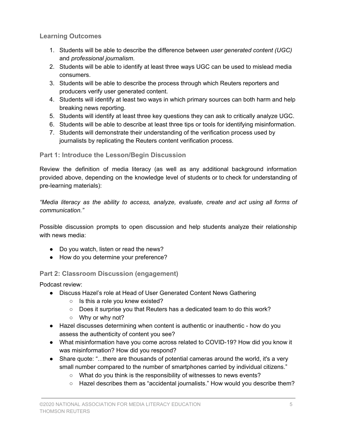**Learning Outcomes**

- 1. Students will be able to describe the difference between *user generated content (UGC)* and *professional journalism*.
- 2. Students will be able to identify at least three ways UGC can be used to mislead media consumers.
- 3. Students will be able to describe the process through which Reuters reporters and producers verify user generated content.
- 4. Students will identify at least two ways in which primary sources can both harm and help breaking news reporting.
- 5. Students will identify at least three key questions they can ask to critically analyze UGC.
- 6. Students will be able to describe at least three tips or tools for identifying misinformation.
- 7. Students will demonstrate their understanding of the verification process used by journalists by replicating the Reuters content verification process.

# **Part 1: Introduce the Lesson/Begin Discussion**

Review the definition of media literacy (as well as any additional background information provided above, depending on the knowledge level of students or to check for understanding of pre-learning materials):

*"Media literacy as the ability to access, analyze, evaluate, create and act using all forms of communication."*

Possible discussion prompts to open discussion and help students analyze their relationship with news media:

- Do you watch, listen or read the news?
- How do you determine your preference?

# **Part 2: Classroom Discussion (engagement)**

Podcast review:

- Discuss Hazel's role at Head of User Generated Content News Gathering
	- Is this a role you knew existed?
	- Does it surprise you that Reuters has a dedicated team to do this work?
	- Why or why not?
- Hazel discusses determining when content is authentic or inauthentic how do you assess the authenticity of content you see?
- What misinformation have you come across related to COVID-19? How did you know it was misinformation? How did you respond?
- Share quote: "...there are thousands of potential cameras around the world, it's a very small number compared to the number of smartphones carried by individual citizens."
	- What do you think is the responsibility of witnesses to news events?
	- Hazel describes them as "accidental journalists." How would you describe them?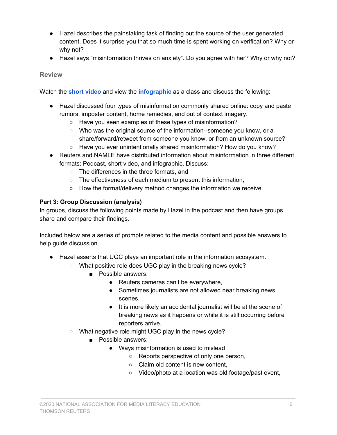- Hazel describes the painstaking task of finding out the source of the user generated content. Does it surprise you that so much time is spent working on verification? Why or why not?
- Hazel says "misinformation thrives on anxiety". Do you agree with her? Why or why not?

#### **Review**

Watch the **short [video](https://www.youtube.com/watch?v=jNe7SZgn000&feature=youtu.be)** and view the **[infographic](https://www.thomsonreuters.com/content/dam/ewp-m/documents/thomsonreuters/en/pdf/social-impact/tr-infographic-misinformation.pdf)** as a class and discuss the following:

- Hazel discussed four types of misinformation commonly shared online: copy and paste rumors, imposter content, home remedies, and out of context imagery.
	- Have you seen examples of these types of misinformation?
	- Who was the original source of the information--someone you know, or a share/forward/retweet from someone you know, or from an unknown source?
	- Have you ever unintentionally shared misinformation? How do you know?
- Reuters and NAMLE have distributed information about misinformation in three different formats: Podcast, short video, and infographic. Discuss:
	- The differences in the three formats, and
	- The effectiveness of each medium to present this information,
	- How the format/delivery method changes the information we receive.

#### **Part 3: Group Discussion (analysis)**

In groups, discuss the following points made by Hazel in the podcast and then have groups share and compare their findings.

Included below are a series of prompts related to the media content and possible answers to help guide discussion.

- Hazel asserts that UGC plays an important role in the information ecosystem.
	- What positive role does UGC play in the breaking news cycle?
		- Possible answers:
			- Reuters cameras can't be everywhere,
			- Sometimes journalists are not allowed near breaking news scenes,
			- It is more likely an accidental journalist will be at the scene of breaking news as it happens or while it is still occurring before reporters arrive.
	- What negative role might UGC play in the news cycle?
		- Possible answers:
			- Ways misinformation is used to mislead
				- Reports perspective of only one person,
				- Claim old content is new content,
				- Video/photo at a location was old footage/past event,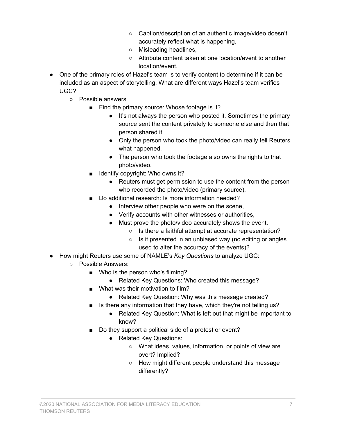- Caption/description of an authentic image/video doesn't accurately reflect what is happening,
- Misleading headlines,
- Attribute content taken at one location/event to another location/event.
- One of the primary roles of Hazel's team is to verify content to determine if it can be included as an aspect of storytelling. What are different ways Hazel's team verifies UGC?
	- Possible answers
		- Find the primary source: Whose footage is it?
			- It's not always the person who posted it. Sometimes the primary source sent the content privately to someone else and then that person shared it.
			- Only the person who took the photo/video can really tell Reuters what happened.
			- The person who took the footage also owns the rights to that photo/video.
		- Identify copyright: Who owns it?
			- Reuters must get permission to use the content from the person who recorded the photo/video (primary source).
		- Do additional research: Is more information needed?
			- Interview other people who were on the scene,
			- Verify accounts with other witnesses or authorities,
			- Must prove the photo/video accurately shows the event,
				- Is there a faithful attempt at accurate representation?
				- Is it presented in an unbiased way (no editing or angles used to alter the accuracy of the events)?
- How might Reuters use some of NAMLE's *Key Questions* to analyze UGC:
	- Possible Answers:
		- Who is the person who's filming?
			- Related Key Questions: Who created this message?
		- What was their motivation to film?
			- Related Key Question: Why was this message created?
		- Is there any information that they have, which they're not telling us?
			- Related Key Question: What is left out that might be important to know?
		- Do they support a political side of a protest or event?
			- Related Key Questions:
				- What ideas, values, information, or points of view are overt? Implied?
				- How might different people understand this message differently?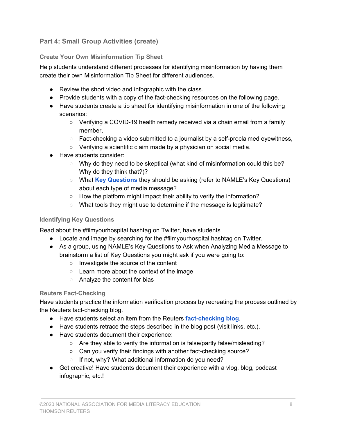# **Part 4: Small Group Activities (create)**

### **Create Your Own Misinformation Tip Sheet**

Help students understand different processes for identifying misinformation by having them create their own Misinformation Tip Sheet for different audiences.

- Review the short video and infographic with the class.
- Provide students with a copy of the fact-checking resources on the following page.
- Have students create a tip sheet for identifying misinformation in one of the following scenarios:
	- Verifying a COVID-19 health remedy received via a chain email from a family member,
	- $\circ$  Fact-checking a video submitted to a journalist by a self-proclaimed eyewitness,
	- Verifying a scientific claim made by a physician on social media.
- Have students consider:
	- Why do they need to be skeptical (what kind of misinformation could this be? Why do they think that?)?
	- What **Key [Questions](https://drive.google.com/file/d/0B8j2T8jHrlgCZ2Zta2hvWkF0dG8/view)** they should be asking (refer to NAMLE's Key Questions) about each type of media message?
	- How the platform might impact their ability to verify the information?
	- $\circ$  What tools they might use to determine if the message is legitimate?

#### **Identifying Key Questions**

Read about the #filmyourhospital hashtag on Twitter, have students

- Locate and image by searching for the #filmyourhospital hashtag on Twitter.
- As a group, using NAMLE's Key Questions to Ask when Analyzing Media Message to brainstorm a list of Key Questions you might ask if you were going to:
	- Investigate the source of the content
	- Learn more about the context of the image
	- Analyze the content for bias

#### **Reuters Fact-Checking**

Have students practice the information verification process by recreating the process outlined by the Reuters fact-checking blog.

- Have students select an item from the Reuters **[fact-checking](https://www.reuters.com/fact-check) blog**.
- Have students retrace the steps described in the blog post (visit links, etc.).
- Have students document their experience:
	- Are they able to verify the information is false/partly false/misleading?
	- Can you verify their findings with another fact-checking source?
	- If not, why? What additional information do you need?
- Get creative! Have students document their experience with a vlog, blog, podcast infographic, etc.!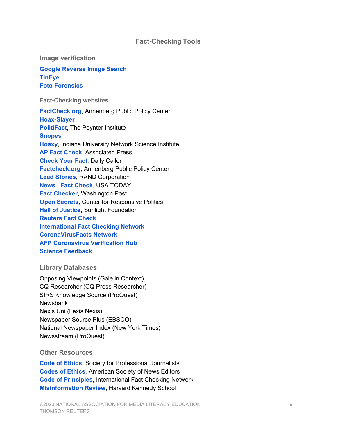#### **Fact-Checking Tools**

**Image verification**

**Google [Reverse](https://support.google.com/websearch/answer/1325808?hl=en) Image Search [TinEye](https://www.tineye.com/) Foto [Forensics](http://fotoforensics.com/)**

**Fact-Checking websites**

**[FactCheck.org](https://www.factcheck.org/)**, Annenberg Public Policy Center **[Hoax-Slayer](https://www.hoax-slayer.com/) [PolitiFact](https://www.politifact.com/)**, The Poynter Institute **[Snopes](https://www.snopes.com/) [Hoaxy](https://hoaxy.iuni.iu.edu/)**, Indiana University Network Science Institute **AP Fact [Check](https://apnews.com/APFactCheck)**, Associated Press **[Check](https://dailycaller.com/buzz/check-your-fact/) Your Fact**, Daily Caller **[Factcheck.org](https://www.factcheck.org/)**, Annenberg Public Policy Center **Lead [Stories](https://www.rand.org/research/projects/truth-decay/fighting-disinformation/search/items/lead-stories-factchecker.html)**, RAND Corporation **News | Fact [Check](https://www.usatoday.com/news/factcheck/)**, USA TODAY **Fact [Checker](https://www.washingtonpost.com/news/fact-checker/)**, Washington Post **Open [Secrets](https://www.opensecrets.org/), Center for Responsive Politics Hall of [Justice](http://hallofjustice.sunlightfoundation.com/)**, Sunlight Foundation **[Reuters](https://www.reuters.com/fact-check) Fact Check [International](https://www.poynter.org/ifcn/) Fact Checking Network [CoronaVirusFacts](https://www.poynter.org/coronavirusfactsalliance/) Network AFP [Coronavirus](https://factcheck.afp.com/) Verification Hub Science [Feedback](https://sciencefeedback.co/)**

#### **Library Databases**

Opposing Viewpoints (Gale in Context) CQ Researcher (CQ Press Researcher) SIRS Knowledge Source (ProQuest) Newsbank Nexis Uni (Lexis Nexis) Newspaper Source Plus (EBSCO) National Newspaper Index (New York Times) Newsstream (ProQuest)

#### **Other Resources**

**Code of [Ethics](https://www.spj.org/ethicscode.asp)**, Society for Professional Journalists **[Codes](https://members.newsleaders.org/content.asp?contentid=236) of Ethics**, American Society of News Editors **Code of [Principles](https://ifcncodeofprinciples.poynter.org/)**, International Fact Checking Network **[Misinformation](https://misinforeview.hks.harvard.edu/) Review**, Harvard Kennedy School